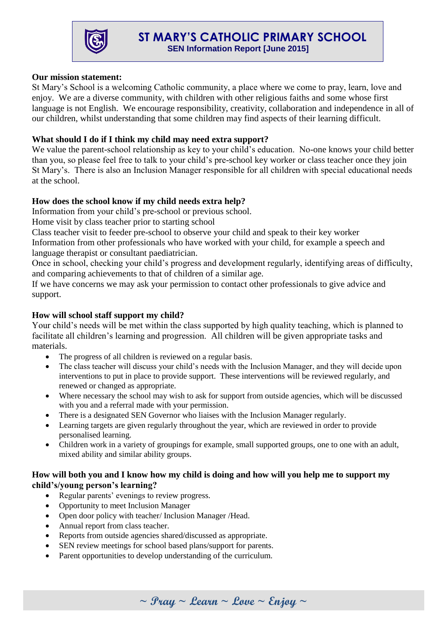

### **Our mission statement:**

St Mary's School is a welcoming Catholic community, a place where we come to pray, learn, love and enjoy. We are a diverse community, with children with other religious faiths and some whose first language is not English. We encourage responsibility, creativity, collaboration and independence in all of our children, whilst understanding that some children may find aspects of their learning difficult.

## **What should I do if I think my child may need extra support?**

We value the parent-school relationship as key to your child's education. No-one knows your child better than you, so please feel free to talk to your child's pre-school key worker or class teacher once they join St Mary's. There is also an Inclusion Manager responsible for all children with special educational needs at the school.

## **How does the school know if my child needs extra help?**

Information from your child's pre-school or previous school.

Home visit by class teacher prior to starting school

Class teacher visit to feeder pre-school to observe your child and speak to their key worker Information from other professionals who have worked with your child, for example a speech and language therapist or consultant paediatrician.

Once in school, checking your child's progress and development regularly, identifying areas of difficulty, and comparing achievements to that of children of a similar age.

If we have concerns we may ask your permission to contact other professionals to give advice and support.

### **How will school staff support my child?**

Your child's needs will be met within the class supported by high quality teaching, which is planned to facilitate all children's learning and progression. All children will be given appropriate tasks and materials.

- The progress of all children is reviewed on a regular basis.
- The class teacher will discuss your child's needs with the Inclusion Manager, and they will decide upon interventions to put in place to provide support. These interventions will be reviewed regularly, and renewed or changed as appropriate.
- Where necessary the school may wish to ask for support from outside agencies, which will be discussed with you and a referral made with your permission.
- There is a designated SEN Governor who liaises with the Inclusion Manager regularly.
- Learning targets are given regularly throughout the year, which are reviewed in order to provide personalised learning.
- Children work in a variety of groupings for example, small supported groups, one to one with an adult, mixed ability and similar ability groups.

#### **How will both you and I know how my child is doing and how will you help me to support my child's/young person's learning?**

- Regular parents' evenings to review progress.
- Opportunity to meet Inclusion Manager
- Open door policy with teacher/ Inclusion Manager / Head.
- Annual report from class teacher.
- Reports from outside agencies shared/discussed as appropriate.
- SEN review meetings for school based plans/support for parents.
- Parent opportunities to develop understanding of the curriculum.

**~ Pray ~ Learn ~ Love ~ Enjoy ~**